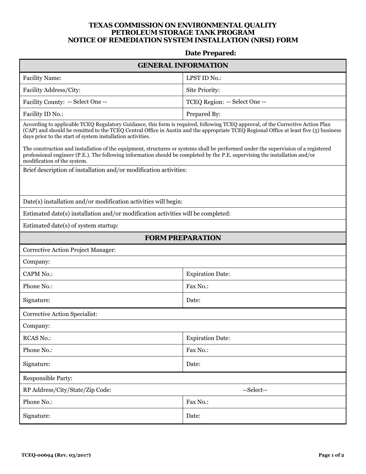## **TEXAS COMMISSION ON ENVIRONMENTAL QUALITY PETROLEUM STORAGE TANK PROGRAM NOTICE OF REMEDIATION SYSTEM INSTALLATION (NRSI) FORM**

## **Date Prepared:**

| <b>GENERAL INFORMATION</b>                                                                                                                                                                                                                                                                                                             |                               |
|----------------------------------------------------------------------------------------------------------------------------------------------------------------------------------------------------------------------------------------------------------------------------------------------------------------------------------------|-------------------------------|
| <b>Facility Name:</b>                                                                                                                                                                                                                                                                                                                  | LPST ID No.:                  |
| Facility Address/City:                                                                                                                                                                                                                                                                                                                 | Site Priority:                |
| Facility County: -- Select One --                                                                                                                                                                                                                                                                                                      | TCEQ Region: -- Select One -- |
| Facility ID No.:                                                                                                                                                                                                                                                                                                                       | Prepared By:                  |
| According to applicable TCEQ Regulatory Guidance, this form is required, following TCEQ approval, of the Corrective Action Plan<br>(CAP) and should be remitted to the TCEQ Central Office in Austin and the appropriate TCEQ Regional Office at least five (5) business<br>days prior to the start of system installation activities. |                               |
| The construction and installation of the equipment, structures or systems shall be performed under the supervision of a registered<br>professional engineer (P.E.). The following information should be completed by the P.E. supervising the installation and/or<br>modification of the system.                                       |                               |
| Brief description of installation and/or modification activities:                                                                                                                                                                                                                                                                      |                               |
| Date(s) installation and/or modification activities will begin:                                                                                                                                                                                                                                                                        |                               |
| Estimated date(s) installation and/or modification activities will be completed:                                                                                                                                                                                                                                                       |                               |
| Estimated date(s) of system startup:                                                                                                                                                                                                                                                                                                   |                               |
| <b>FORM PREPARATION</b>                                                                                                                                                                                                                                                                                                                |                               |
| <b>Corrective Action Project Manager:</b>                                                                                                                                                                                                                                                                                              |                               |
| Company:                                                                                                                                                                                                                                                                                                                               |                               |
| <b>CAPM No.:</b>                                                                                                                                                                                                                                                                                                                       | <b>Expiration Date:</b>       |
| Phone No.:                                                                                                                                                                                                                                                                                                                             | Fax No.:                      |
| Signature:                                                                                                                                                                                                                                                                                                                             | Date:                         |
| Corrective Action Specialist:                                                                                                                                                                                                                                                                                                          |                               |
| Company:                                                                                                                                                                                                                                                                                                                               |                               |
| <b>RCAS No.:</b>                                                                                                                                                                                                                                                                                                                       | <b>Expiration Date:</b>       |
| Phone No.:                                                                                                                                                                                                                                                                                                                             | Fax No.:                      |
| Signature:                                                                                                                                                                                                                                                                                                                             | Date:                         |
| <b>Responsible Party:</b>                                                                                                                                                                                                                                                                                                              |                               |
| RP Address/City/State/Zip Code:                                                                                                                                                                                                                                                                                                        | --Select--                    |
| Phone No.:                                                                                                                                                                                                                                                                                                                             | Fax No.:                      |
| Signature:                                                                                                                                                                                                                                                                                                                             | Date:                         |